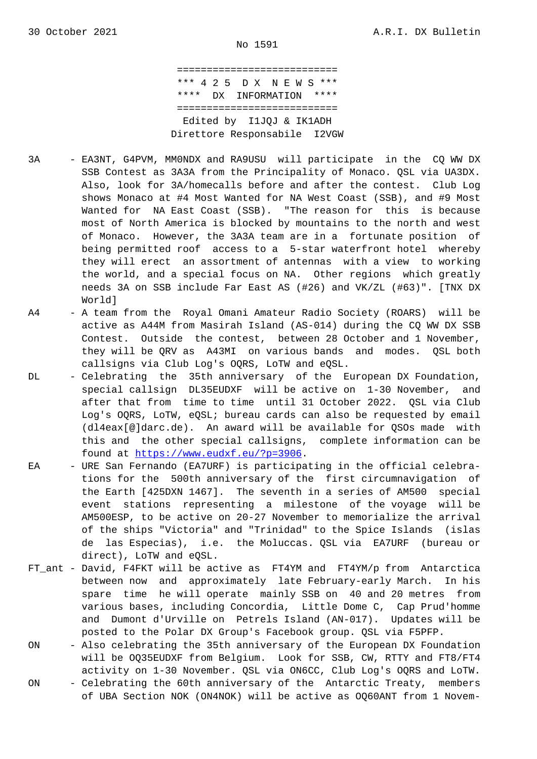=========================== \*\*\* 4 2 5 D X N E W S \*\*\* \*\*\*\* DX INFORMATION \*\*\*\* =========================== Edited by I1JQJ & IK1ADH Direttore Responsabile I2VGW

- 3A EA3NT, G4PVM, MM0NDX and RA9USU will participate in the CQ WW DX SSB Contest as 3A3A from the Principality of Monaco. QSL via UA3DX. Also, look for 3A/homecalls before and after the contest. Club Log shows Monaco at #4 Most Wanted for NA West Coast (SSB), and #9 Most Wanted for NA East Coast (SSB). "The reason for this is because most of North America is blocked by mountains to the north and west of Monaco. However, the 3A3A team are in a fortunate position of being permitted roof access to a 5-star waterfront hotel whereby they will erect an assortment of antennas with a view to working the world, and a special focus on NA. Other regions which greatly needs 3A on SSB include Far East AS (#26) and VK/ZL (#63)". [TNX DX World]
- A4 A team from the Royal Omani Amateur Radio Society (ROARS) will be active as A44M from Masirah Island (AS-014) during the CQ WW DX SSB Contest. Outside the contest, between 28 October and 1 November, they will be QRV as A43MI on various bands and modes. QSL both callsigns via Club Log's OQRS, LoTW and eQSL.
- DL Celebrating the 35th anniversary of the European DX Foundation, special callsign DL35EUDXF will be active on 1-30 November, and after that from time to time until 31 October 2022. QSL via Club Log's OQRS, LoTW, eQSL; bureau cards can also be requested by email (dl4eax[@]darc.de). An award will be available for QSOs made with this and the other special callsigns, complete information can be found at https://www.eudxf.eu/?p=3906.
- EA URE San Fernando (EA7URF) is participating in the official celebra tions for the 500th anniversary of the first circumnavigation of the Earth [425DXN 1467]. The seventh in a series of AM500 special event st[ations representing a mile](https://www.eudxf.eu/?p=3906)stone of the voyage will be AM500ESP, to be active on 20-27 November to memorialize the arrival of the ships "Victoria" and "Trinidad" to the Spice Islands (islas de las Especias), i.e. the Moluccas. QSL via EA7URF (bureau or direct), LoTW and eQSL.
- FT\_ant David, F4FKT will be active as FT4YM and FT4YM/p from Antarctica between now and approximately late February-early March. In his spare time he will operate mainly SSB on 40 and 20 metres from various bases, including Concordia, Little Dome C, Cap Prud'homme and Dumont d'Urville on Petrels Island (AN-017). Updates will be posted to the Polar DX Group's Facebook group. QSL via F5PFP.
- ON Also celebrating the 35th anniversary of the European DX Foundation will be OQ35EUDXF from Belgium. Look for SSB, CW, RTTY and FT8/FT4 activity on 1-30 November. QSL via ON6CC, Club Log's OQRS and LoTW.
- ON Celebrating the 60th anniversary of the Antarctic Treaty, members of UBA Section NOK (ON4NOK) will be active as OQ60ANT from 1 Novem-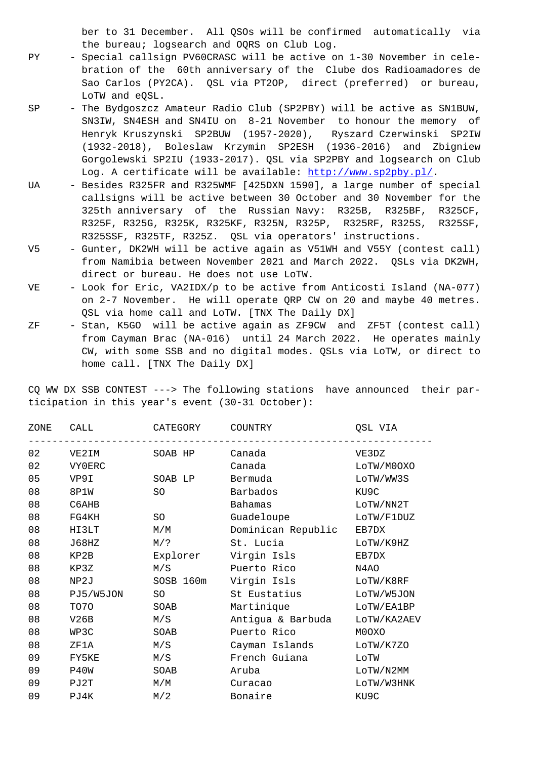the bureau; logsearch and OQRS on Club Log.

- PY Special callsign PV60CRASC will be active on 1-30 November in cele bration of the 60th anniversary of the Clube dos Radioamadores de Sao Carlos (PY2CA). QSL via PT2OP, direct (preferred) or bureau, LoTW and eQSL.
- SP The Bydgoszcz Amateur Radio Club (SP2PBY) will be active as SN1BUW, SN3IW, SN4ESH and SN4IU on 8-21 November to honour the memory of Henryk Kruszynski SP2BUW (1957-2020), Ryszard Czerwinski SP2IW (1932-2018), Boleslaw Krzymin SP2ESH (1936-2016) and Zbigniew Gorgolewski SP2IU (1933-2017). QSL via SP2PBY and logsearch on Club Log. A certificate will be available: http://www.sp2pby.pl/.
- UA Besides R325FR and R325WMF [425DXN 1590], a large number of special callsigns will be active between 30 October and 30 November for the 325th anniversary of the Russian Navy: R325B, R325BF, R325CF, R325F, R325G, R325K, R325KF, R325N, R[325P, R325RF, R325S,](http://www.sp2pby.pl/) R325SF, R325SSF, R325TF, R325Z. QSL via operators' instructions.
- V5 Gunter, DK2WH will be active again as V51WH and V55Y (contest call) from Namibia between November 2021 and March 2022. QSLs via DK2WH, direct or bureau. He does not use LoTW.
- VE Look for Eric, VA2IDX/p to be active from Anticosti Island (NA-077) on 2-7 November. He will operate QRP CW on 20 and maybe 40 metres. QSL via home call and LoTW. [TNX The Daily DX]
- ZF Stan, K5GO will be active again as ZF9CW and ZF5T (contest call) from Cayman Brac (NA-016) until 24 March 2022. He operates mainly CW, with some SSB and no digital modes. QSLs via LoTW, or direct to home call. [TNX The Daily DX]

CQ WW DX SSB CONTEST ---> The following stations have announced their participation in this year's event (30-31 October):

| ZONE | CALL      | CATEGORY  | COUNTRY            | OSL VIA     |
|------|-----------|-----------|--------------------|-------------|
| 02   | VE2IM     | SOAB HP   | Canada             | VE3DZ       |
| 02   | VY0ERC    |           | Canada             | LOTW/M00XO  |
| 05   | VP9I      | SOAB LP   | Bermuda            | LOTW/WW3S   |
| 08   | 8P1W      | SO        | Barbados           | KU9C        |
| 08   | C6AHB     |           | Bahamas            | LOTW/NN2T   |
| 08   | FG4KH     | SO        | Guadeloupe         | LOTW/F1DUZ  |
| 08   | HI3LT     | M/M       | Dominican Republic | EB7DX       |
| 08   | J68HZ     | $M/$ ?    | St. Lucia          | LOTW/K9HZ   |
| 08   | KP2B      | Explorer  | Virgin Isls        | EB7DX       |
| 08   | KP3Z      | M/S       | Puerto Rico        | N4AO        |
| 08   | NP2J      | SOSB 160m | Virgin Isls        | LOTW/K8RF   |
| 08   | PJ5/W5JON | SO        | St Eustatius       | LOTW/W5JON  |
| 08   | TO70      | SOAB      | Martinique         | LOTW/EA1BP  |
| 08   | V26B      | M/S       | Antigua & Barbuda  | LOTW/KA2AEV |
| 08   | WP3C      | SOAB      | Puerto Rico        | M0OXO       |
| 08   | ZF1A      | M/S       | Cayman Islands     | LoTW/K7ZO   |
| 09   | FY5KE     | M/S       | French Guiana      | LOTW        |
| 09   | P40W      | SOAB      | Aruba              | LOTW/N2MM   |
| 09   | PJ2T      | M/M       | Curacao            | LOTW/W3HNK  |
| 09   | PJ4K      | M/2       | Bonaire            | KU9C        |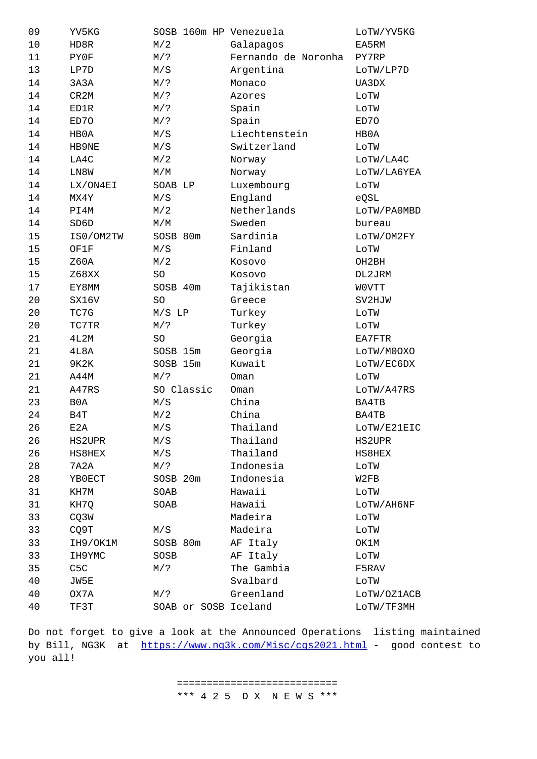| ᅚᇅ | unov             | 14 / L               | aupayos             | <b>FAJNIT</b> |
|----|------------------|----------------------|---------------------|---------------|
| 11 | PY0F             | $M/$ ?               | Fernando de Noronha | PY7RP         |
| 13 | LP7D             | M/S                  | Argentina           | LOTW/LP7D     |
| 14 | 3A3A             | $M/$ ?               | Monaco              | UA3DX         |
| 14 | CR2M             | $M/$ ?               | Azores              | LOTW          |
| 14 | ED1R             | $M/$ ?               | Spain               | LOTW          |
| 14 | ED70             | $M/$ ?               | Spain               | ED70          |
| 14 | HB0A             | M/S                  | Liechtenstein       | HB0A          |
| 14 | HB9NE            | M/S                  | Switzerland         | LOTW          |
| 14 | LA4C             | M/2                  | Norway              | LOTW/LA4C     |
| 14 | LN8W             | M/M                  | Norway              | LOTW/LA6YEA   |
| 14 | LX/ON4EI         | SOAB LP              | Luxembourg          | LOTW          |
| 14 | MX4Y             | M/S                  | England             | eQSL          |
| 14 | PI4M             | M/2                  | Netherlands         | LOTW/PA0MBD   |
| 14 | SD6D             | M/M                  | Sweden              | bureau        |
| 15 | IS0/OM2TW        | SOSB 80m             | Sardinia            | LOTW/OM2FY    |
| 15 | OF1F             | M/S                  | Finland             | LOTW          |
| 15 | Z60A             | M/2                  | Kosovo              | OH2BH         |
| 15 | Z68XX            | SO                   | Kosovo              | DL2JRM        |
| 17 | EY8MM            | SOSB 40m             | Tajikistan          | WOVTT         |
| 20 | SX16V            | SO                   | Greece              | SV2HJW        |
| 20 | TC7G             | $M/S$ LP             | Turkey              | LOTW          |
| 20 | TC7TR            | $M/$ ?               | Turkey              | LOTW          |
| 21 | 4L2M             | SO                   | Georgia             | EA7FTR        |
| 21 | 4L8A             | SOSB 15m             | Georgia             | LOTW/M00X0    |
| 21 | 9K2K             | SOSB 15m             | Kuwait              | LOTW/EC6DX    |
| 21 | A44M             | $M/$ ?               | Oman                | LOTW          |
| 21 | A47RS            | SO Classic           | Oman                | LOTW/A47RS    |
| 23 | B <sub>0</sub> A | M/S                  | China               | BA4TB         |
| 24 | B4T              | M/2                  | China               | <b>BA4TB</b>  |
| 26 | E2A              | M/S                  | Thailand            | LOTW/E21EIC   |
| 26 | HS2UPR           | M/S                  | Thailand            | HS2UPR        |
| 26 | HS8HEX           | M/S                  | Thailand            | HS8HEX        |
| 28 | 7A2A             | M/?                  | Indonesia           | LOTW          |
| 28 | YB0ECT           | SOSB 20m             | Indonesia           | W2FB          |
| 31 | KH7M             | SOAB                 | Hawaii              | LOTW          |
| 31 | KH7Q             | SOAB                 | Hawaii              | LOTW/AH6NF    |
| 33 | CQ3W             |                      | Madeira             | LOTW          |
| 33 | CQ9T             | M/S                  | Madeira             | LOTW          |
| 33 | IH9/OK1M         | SOSB 80m             | AF Italy            | OK1M          |
| 33 | IH9YMC           | SOSB                 | AF Italy            | LOTW          |
| 35 | C5C              | $M/$ ?               | The Gambia          | F5RAV         |
| 40 | JW5E             |                      | Svalbard            | LOTW          |
| 40 | OX7A             | M/?                  | Greenland           | LOTW/OZ1ACB   |
| 40 | TF3T             | SOAB or SOSB Iceland |                     | LOTW/TF3MH    |

Do not forget to give a look at the Announced Operations listing maintained by Bill, NG3K at https://www.ng3k.com/Misc/cqs2021.html - good contest to you all!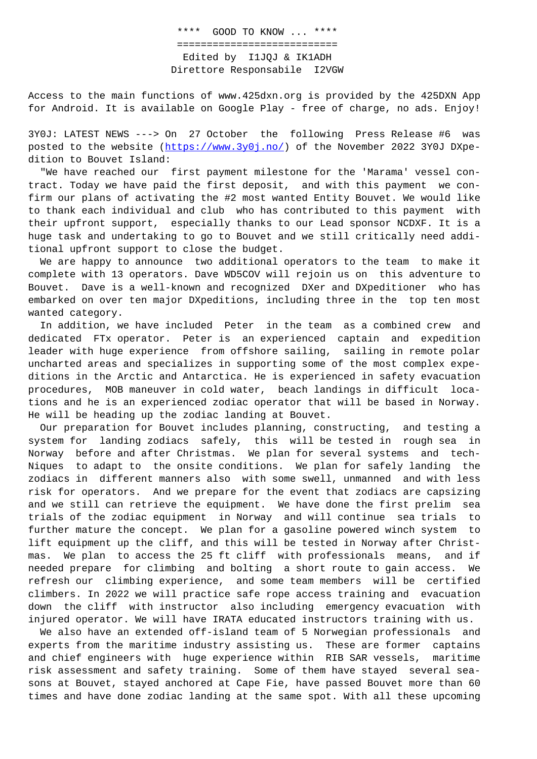## =========================== Edited by I1JQJ & IK1ADH Direttore Responsabile I2VGW

Access to the main functions of www.425dxn.org is provided by the 425DXN App for Android. It is available on Google Play - free of charge, no ads. Enjoy!

3Y0J: LATEST NEWS ---> On 27 October the following Press Release #6 was posted to the website (https://www.3y0j.no/) of the November 2022 3Y0J DXpedition to Bouvet Island:

 "We have reached our first payment milestone for the 'Marama' vessel contract. Today we have paid the first deposit, and with this payment we confirm our plans of activ[ating the #2 most wan](https://www.3y0j.no/)ted Entity Bouvet. We would like to thank each individual and club who has contributed to this payment with their upfront support, especially thanks to our Lead sponsor NCDXF. It is a huge task and undertaking to go to Bouvet and we still critically need additional upfront support to close the budget.

 We are happy to announce two additional operators to the team to make it complete with 13 operators. Dave WD5COV will rejoin us on this adventure to Bouvet. Dave is a well-known and recognized DXer and DXpeditioner who has embarked on over ten major DXpeditions, including three in the top ten most wanted category.

 In addition, we have included Peter in the team as a combined crew and dedicated FTx operator. Peter is an experienced captain and expedition leader with huge experience from offshore sailing, sailing in remote polar uncharted areas and specializes in supporting some of the most complex expeditions in the Arctic and Antarctica. He is experienced in safety evacuation procedures, MOB maneuver in cold water, beach landings in difficult locations and he is an experienced zodiac operator that will be based in Norway. He will be heading up the zodiac landing at Bouvet.

 Our preparation for Bouvet includes planning, constructing, and testing a system for landing zodiacs safely, this will be tested in rough sea in Norway before and after Christmas. We plan for several systems and tech-Niques to adapt to the onsite conditions. We plan for safely landing the zodiacs in different manners also with some swell, unmanned and with less risk for operators. And we prepare for the event that zodiacs are capsizing and we still can retrieve the equipment. We have done the first prelim sea trials of the zodiac equipment in Norway and will continue sea trials to further mature the concept. We plan for a gasoline powered winch system to lift equipment up the cliff, and this will be tested in Norway after Christmas. We plan to access the 25 ft cliff with professionals means, and if needed prepare for climbing and bolting a short route to gain access. We refresh our climbing experience, and some team members will be certified climbers. In 2022 we will practice safe rope access training and evacuation down the cliff with instructor also including emergency evacuation with injured operator. We will have IRATA educated instructors training with us.

 We also have an extended off-island team of 5 Norwegian professionals and experts from the maritime industry assisting us. These are former captains and chief engineers with huge experience within RIB SAR vessels, maritime risk assessment and safety training. Some of them have stayed several seasons at Bouvet, stayed anchored at Cape Fie, have passed Bouvet more than 60 times and have done zodiac landing at the same spot. With all these upcoming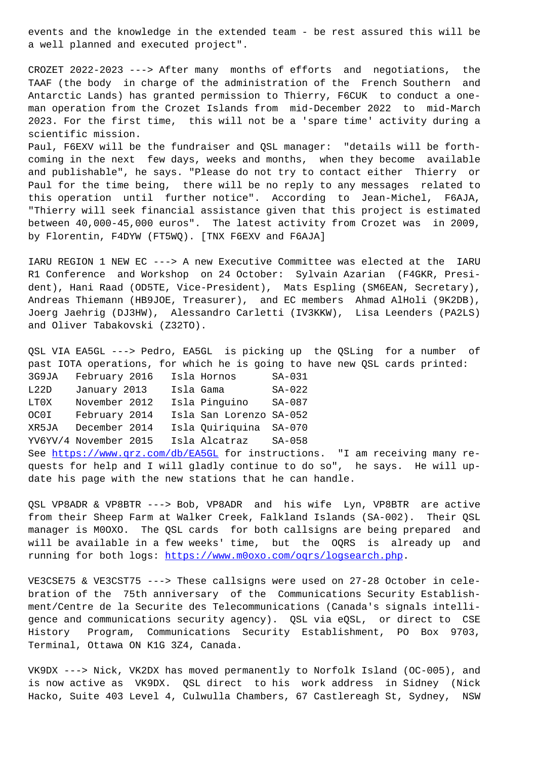a well planned and executed project".

CROZET 2022-2023 ---> After many months of efforts and negotiations, the TAAF (the body in charge of the administration of the French Southern and Antarctic Lands) has granted permission to Thierry, F6CUK to conduct a oneman operation from the Crozet Islands from mid-December 2022 to mid-March 2023. For the first time, this will not be a 'spare time' activity during a scientific mission.

Paul, F6EXV will be the fundraiser and QSL manager: "details will be forthcoming in the next few days, weeks and months, when they become available and publishable", he says. "Please do not try to contact either Thierry or Paul for the time being, there will be no reply to any messages related to this operation until further notice". According to Jean-Michel, F6AJA, "Thierry will seek financial assistance given that this project is estimated between 40,000-45,000 euros". The latest activity from Crozet was in 2009, by Florentin, F4DYW (FT5WQ). [TNX F6EXV and F6AJA]

IARU REGION 1 NEW EC ---> A new Executive Committee was elected at the IARU R1 Conference and Workshop on 24 October: Sylvain Azarian (F4GKR, President), Hani Raad (OD5TE, Vice-President), Mats Espling (SM6EAN, Secretary), Andreas Thiemann (HB9JOE, Treasurer), and EC members Ahmad AlHoli (9K2DB), Joerg Jaehrig (DJ3HW), Alessandro Carletti (IV3KKW), Lisa Leenders (PA2LS) and Oliver Tabakovski (Z32TO).

QSL VIA EA5GL ---> Pedro, EA5GL is picking up the QSLing for a number of past IOTA operations, for which he is going to have new QSL cards printed: 3G9JA February 2016 Isla Hornos SA-031 L22D January 2013 Isla Gama SA-022 LT0X November 2012 Isla Pinguino SA-087 OC0I February 2014 Isla San Lorenzo SA-052 XR5JA December 2014 Isla Quiriquina SA-070 YV6YV/4 November 2015 Isla Alcatraz SA-058 See https://www.qrz.com/db/EA5GL for instructions. "I am receiving many requests for help and I will gladly continue to do so", he says. He will update his page with the new stations that he can handle.

QSL [VP8ADR & VP8BTR ---> Bob, VP](https://www.qrz.com/db/EA5GL)8ADR and his wife Lyn, VP8BTR are active from their Sheep Farm at Walker Creek, Falkland Islands (SA-002). Their QSL manager is M0OXO. The QSL cards for both callsigns are being prepared and will be available in a few weeks' time, but the OQRS is already up and running for both logs: https://www.m0oxo.com/oqrs/logsearch.php.

VE3CSE75 & VE3CST75 ---> These callsigns were used on 27-28 October in celebration of the 75th an[niversary of the Communications Securit](https://www.m0oxo.com/oqrs/logsearch.php)y Establishment/Centre de la Securite des Telecommunications (Canada's signals intelligence and communications security agency). QSL via eQSL, or direct to CSE History Program, Communications Security Establishment, PO Box 9703, Terminal, Ottawa ON K1G 3Z4, Canada.

VK9DX ---> Nick, VK2DX has moved permanently to Norfolk Island (OC-005), and is now active as VK9DX. QSL direct to his work address in Sidney (Nick Hacko, Suite 403 Level 4, Culwulla Chambers, 67 Castlereagh St, Sydney, NSW